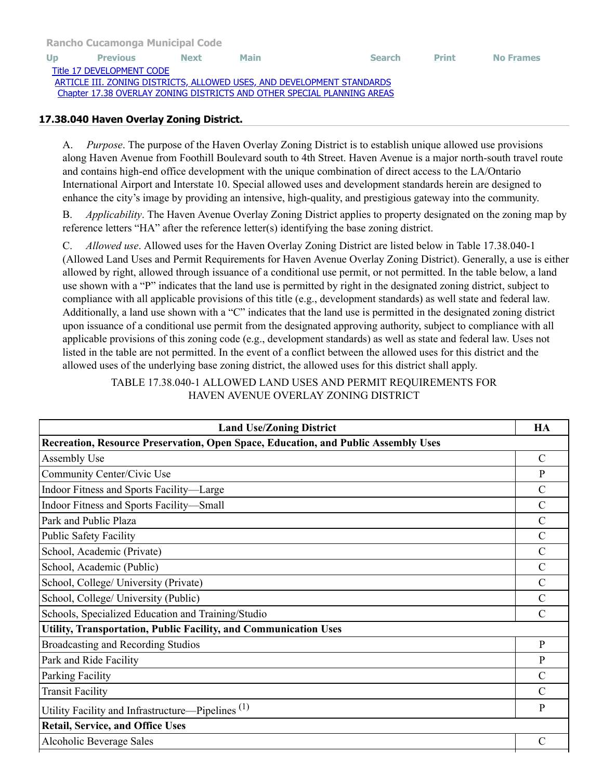[Rancho Cucamonga Municipal Code](http://qcode.us/codes/ranchocucamonga/view.php?&frames=on)

[Up](http://qcode.us/codes/ranchocucamonga/view.php?topic=17-iii-17_38&frames=on) [Previous](http://qcode.us/codes/ranchocucamonga/view.php?topic=17-iii-17_38-17_38_030&frames=on) [Next](http://qcode.us/codes/ranchocucamonga/view.php?topic=17-iii-17_38-17_38_050&frames=on) [Main](http://qcode.us/codes/ranchocucamonga/view.php?frames=on) [Search](http://qcode.us/codes/ranchocucamonga/search.php?frames=on) [Print](javascript:self.print();) [No Frames](http://qcode.us/codes/ranchocucamonga/view.php?topic=17-iii-17_38-17_38_040&frames=off) [Title 17 DEVELOPMENT CODE](http://qcode.us/codes/ranchocucamonga/view.php?topic=17&frames=on) [ARTICLE III. ZONING DISTRICTS, ALLOWED USES, AND DEVELOPMENT STANDARDS](http://qcode.us/codes/ranchocucamonga/view.php?topic=17-iii&frames=on) [Chapter 17.38 OVERLAY ZONING DISTRICTS AND OTHER SPECIAL PLANNING AREAS](http://qcode.us/codes/ranchocucamonga/view.php?topic=17-iii-17_38&frames=on)

## 17.38.040 Haven Overlay Zoning District.

A. *Purpose*. The purpose of the Haven Overlay Zoning District is to establish unique allowed use provisions along Haven Avenue from Foothill Boulevard south to 4th Street. Haven Avenue is a major north-south travel route and contains high-end office development with the unique combination of direct access to the LA/Ontario International Airport and Interstate 10. Special allowed uses and development standards herein are designed to enhance the city's image by providing an intensive, high-quality, and prestigious gateway into the community.

B. *Applicability*. The Haven Avenue Overlay Zoning District applies to property designated on the zoning map by reference letters "HA" after the reference letter(s) identifying the base zoning district.

C. *Allowed use*. Allowed uses for the Haven Overlay Zoning District are listed below in Table 17.38.040-1 (Allowed Land Uses and Permit Requirements for Haven Avenue Overlay Zoning District). Generally, a use is either allowed by right, allowed through issuance of a conditional use permit, or not permitted. In the table below, a land use shown with a "P" indicates that the land use is permitted by right in the designated zoning district, subject to compliance with all applicable provisions of this title (e.g., development standards) as well state and federal law. Additionally, a land use shown with a "C" indicates that the land use is permitted in the designated zoning district upon issuance of a conditional use permit from the designated approving authority, subject to compliance with all applicable provisions of this zoning code (e.g., development standards) as well as state and federal law. Uses not listed in the table are not permitted. In the event of a conflict between the allowed uses for this district and the allowed uses of the underlying base zoning district, the allowed uses for this district shall apply.

TABLE 17.38.040-1 ALLOWED LAND USES AND PERMIT REQUIREMENTS FOR HAVEN AVENUE OVERLAY ZONING DISTRICT

| <b>Land Use/Zoning District</b>                                                    | HA            |  |
|------------------------------------------------------------------------------------|---------------|--|
| Recreation, Resource Preservation, Open Space, Education, and Public Assembly Uses |               |  |
| Assembly Use                                                                       | $\mathcal{C}$ |  |
| Community Center/Civic Use                                                         | P             |  |
| Indoor Fitness and Sports Facility-Large                                           | $\mathcal{C}$ |  |
| Indoor Fitness and Sports Facility-Small                                           | $\mathcal{C}$ |  |
| Park and Public Plaza                                                              | $\mathcal{C}$ |  |
| <b>Public Safety Facility</b>                                                      | $\mathcal{C}$ |  |
| School, Academic (Private)                                                         | $\mathcal{C}$ |  |
| School, Academic (Public)                                                          | $\mathcal{C}$ |  |
| School, College/ University (Private)                                              | $\mathcal{C}$ |  |
| School, College/ University (Public)                                               | $\mathcal{C}$ |  |
| Schools, Specialized Education and Training/Studio                                 |               |  |
| Utility, Transportation, Public Facility, and Communication Uses                   |               |  |
| Broadcasting and Recording Studios                                                 | $\mathbf{P}$  |  |
| Park and Ride Facility                                                             | P             |  |
| Parking Facility                                                                   | $\mathcal{C}$ |  |
| <b>Transit Facility</b>                                                            | $\mathcal{C}$ |  |
| Utility Facility and Infrastructure—Pipelines <sup>(1)</sup>                       | P             |  |
| <b>Retail, Service, and Office Uses</b>                                            |               |  |
| Alcoholic Beverage Sales                                                           | $\mathcal{C}$ |  |